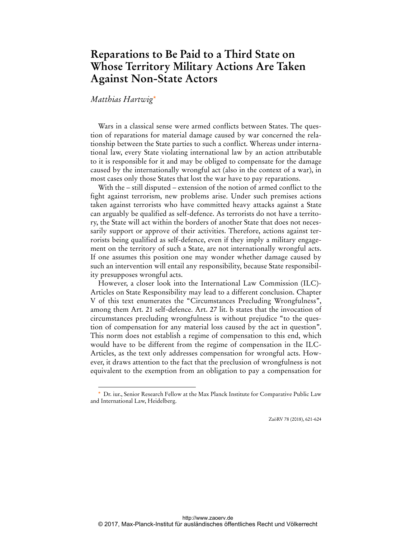## **Reparations to Be Paid to a Third State on Whose Territory Military Actions Are Taken Against Non-State Actors**

## *Matthias Hartwig*\*

 $\ddot{ }$ 

Wars in a classical sense were armed conflicts between States. The question of reparations for material damage caused by war concerned the relationship between the State parties to such a conflict. Whereas under international law, every State violating international law by an action attributable to it is responsible for it and may be obliged to compensate for the damage caused by the internationally wrongful act (also in the context of a war), in most cases only those States that lost the war have to pay reparations.

With the – still disputed – extension of the notion of armed conflict to the fight against terrorism, new problems arise. Under such premises actions taken against terrorists who have committed heavy attacks against a State can arguably be qualified as self-defence. As terrorists do not have a territory, the State will act within the borders of another State that does not necessarily support or approve of their activities. Therefore, actions against terrorists being qualified as self-defence, even if they imply a military engagement on the territory of such a State, are not internationally wrongful acts. If one assumes this position one may wonder whether damage caused by such an intervention will entail any responsibility, because State responsibility presupposes wrongful acts.

However, a closer look into the International Law Commission (ILC)- Articles on State Responsibility may lead to a different conclusion. Chapter V of this text enumerates the "Circumstances Precluding Wrongfulness", among them Art. 21 self-defence. Art. 27 lit. b states that the invocation of circumstances precluding wrongfulness is without prejudice "to the question of compensation for any material loss caused by the act in question". This norm does not establish a regime of compensation to this end, which would have to be different from the regime of compensation in the ILC-Articles, as the text only addresses compensation for wrongful acts. However, it draws attention to the fact that the preclusion of wrongfulness is not equivalent to the exemption from an obligation to pay a compensation for

ZaöRV 78 (2018), 621-624

Dr. iur., Senior Research Fellow at the Max Planck Institute for Comparative Public Law and International Law, Heidelberg.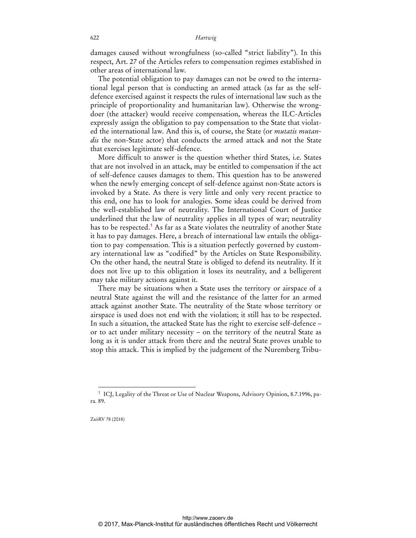damages caused without wrongfulness (so-called "strict liability"). In this respect, Art. 27 of the Articles refers to compensation regimes established in other areas of international law.

The potential obligation to pay damages can not be owed to the international legal person that is conducting an armed attack (as far as the selfdefence exercised against it respects the rules of international law such as the principle of proportionality and humanitarian law). Otherwise the wrongdoer (the attacker) would receive compensation, whereas the ILC-Articles expressly assign the obligation to pay compensation to the State that violated the international law. And this is, of course, the State (or *mutatis mutandis* the non-State actor) that conducts the armed attack and not the State that exercises legitimate self-defence.

More difficult to answer is the question whether third States, i.e. States that are not involved in an attack, may be entitled to compensation if the act of self-defence causes damages to them. This question has to be answered when the newly emerging concept of self-defence against non-State actors is invoked by a State. As there is very little and only very recent practice to this end, one has to look for analogies. Some ideas could be derived from the well-established law of neutrality. The International Court of Justice underlined that the law of neutrality applies in all types of war; neutrality has to be respected.<sup>1</sup> As far as a State violates the neutrality of another State it has to pay damages. Here, a breach of international law entails the obligation to pay compensation. This is a situation perfectly governed by customary international law as "codified" by the Articles on State Responsibility. On the other hand, the neutral State is obliged to defend its neutrality. If it does not live up to this obligation it loses its neutrality, and a belligerent may take military actions against it.

There may be situations when a State uses the territory or airspace of a neutral State against the will and the resistance of the latter for an armed attack against another State. The neutrality of the State whose territory or airspace is used does not end with the violation; it still has to be respected. In such a situation, the attacked State has the right to exercise self-defence – or to act under military necessity – on the territory of the neutral State as long as it is under attack from there and the neutral State proves unable to stop this attack. This is implied by the judgement of the Nuremberg Tribu-

ZaöRV 78 (2018)

 $\ddot{ }$ 

<sup>1</sup> ICJ, Legality of the Threat or Use of Nuclear Weapons, Advisory Opinion, 8.7.1996, para. 89.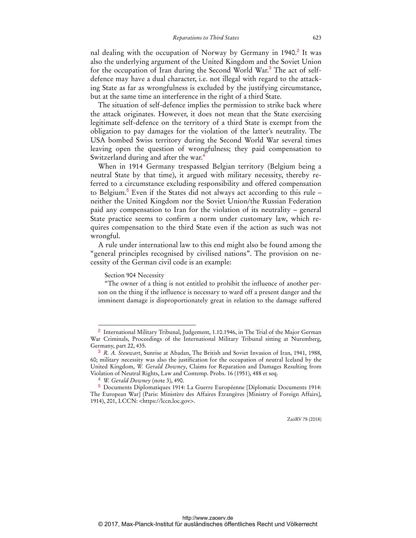nal dealing with the occupation of Norway by Germany in 1940.<sup>2</sup> It was also the underlying argument of the United Kingdom and the Soviet Union for the occupation of Iran during the Second World War.<sup>3</sup> The act of selfdefence may have a dual character, i.e. not illegal with regard to the attacking State as far as wrongfulness is excluded by the justifying circumstance, but at the same time an interference in the right of a third State.

The situation of self-defence implies the permission to strike back where the attack originates. However, it does not mean that the State exercising legitimate self-defence on the territory of a third State is exempt from the obligation to pay damages for the violation of the latter's neutrality. The USA bombed Swiss territory during the Second World War several times leaving open the question of wrongfulness; they paid compensation to Switzerland during and after the war.<sup>4</sup>

When in 1914 Germany trespassed Belgian territory (Belgium being a neutral State by that time), it argued with military necessity, thereby referred to a circumstance excluding responsibility and offered compensation to Belgium.<sup>5</sup> Even if the States did not always act according to this rule  $$ neither the United Kingdom nor the Soviet Union/the Russian Federation paid any compensation to Iran for the violation of its neutrality – general State practice seems to confirm a norm under customary law, which requires compensation to the third State even if the action as such was not wrongful.

A rule under international law to this end might also be found among the "general principles recognised by civilised nations". The provision on necessity of the German civil code is an example:

## Section 904 Necessity

 $\overline{a}$ 

"The owner of a thing is not entitled to prohibit the influence of another person on the thing if the influence is necessary to ward off a present danger and the imminent damage is disproportionately great in relation to the damage suffered

<sup>2</sup> International Military Tribunal, Judgement, 1.10.1946, in The Trial of the Major German War Criminals, Proceedings of the International Military Tribunal sitting at Nuremberg, Germany, part 22, 435.

<sup>3</sup> *R. A. Steuwart*, Sunrise at Abadan, The British and Soviet Invasion of Iran, 1941, 1988, 60; military necessity was also the justification for the occupation of neutral Iceland by the United Kingdom, *W. Gerald Downey*, Claims for Reparation and Damages Resulting from Violation of Neutral Rights, Law and Contemp. Probs. 16 (1951), 488 et seq.

<sup>4</sup> *W. Gerald Downey* (note 3), 490.

<sup>5</sup> Documents Diplomatiques 1914: La Guerre Européenne [Diplomatic Documents 1914: The European War] (Paris: Ministère des Affaires Ètrangères [Ministry of Foreign Affairs], 1914), 201, LCCN: <https://lccn.loc.gov>.